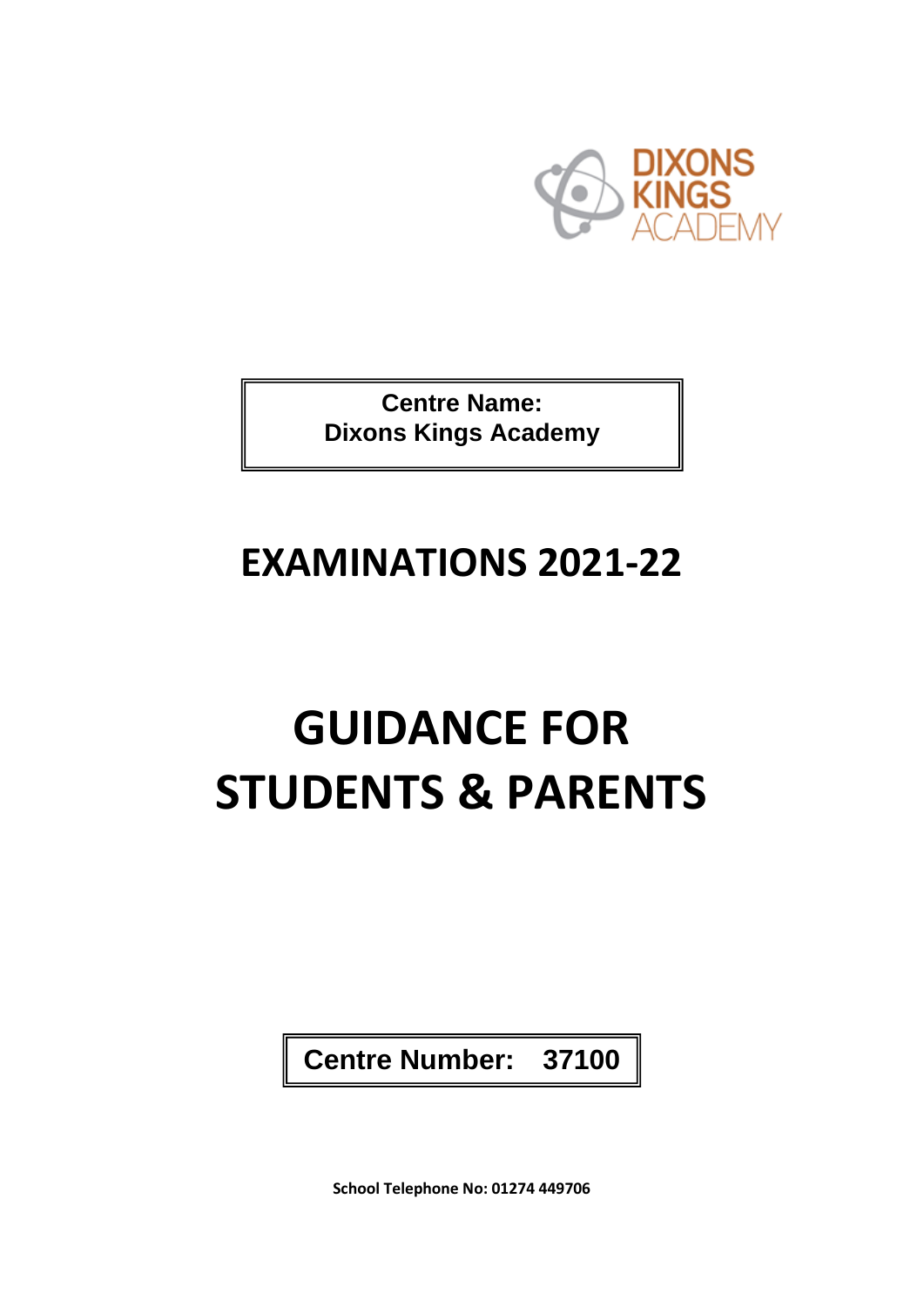

**Centre Name: Dixons Kings Academy**

## **EXAMINATIONS 2021-22**

# **GUIDANCE FOR STUDENTS & PARENTS**

**Centre Number: 37100**

**School Telephone No: 01274 449706**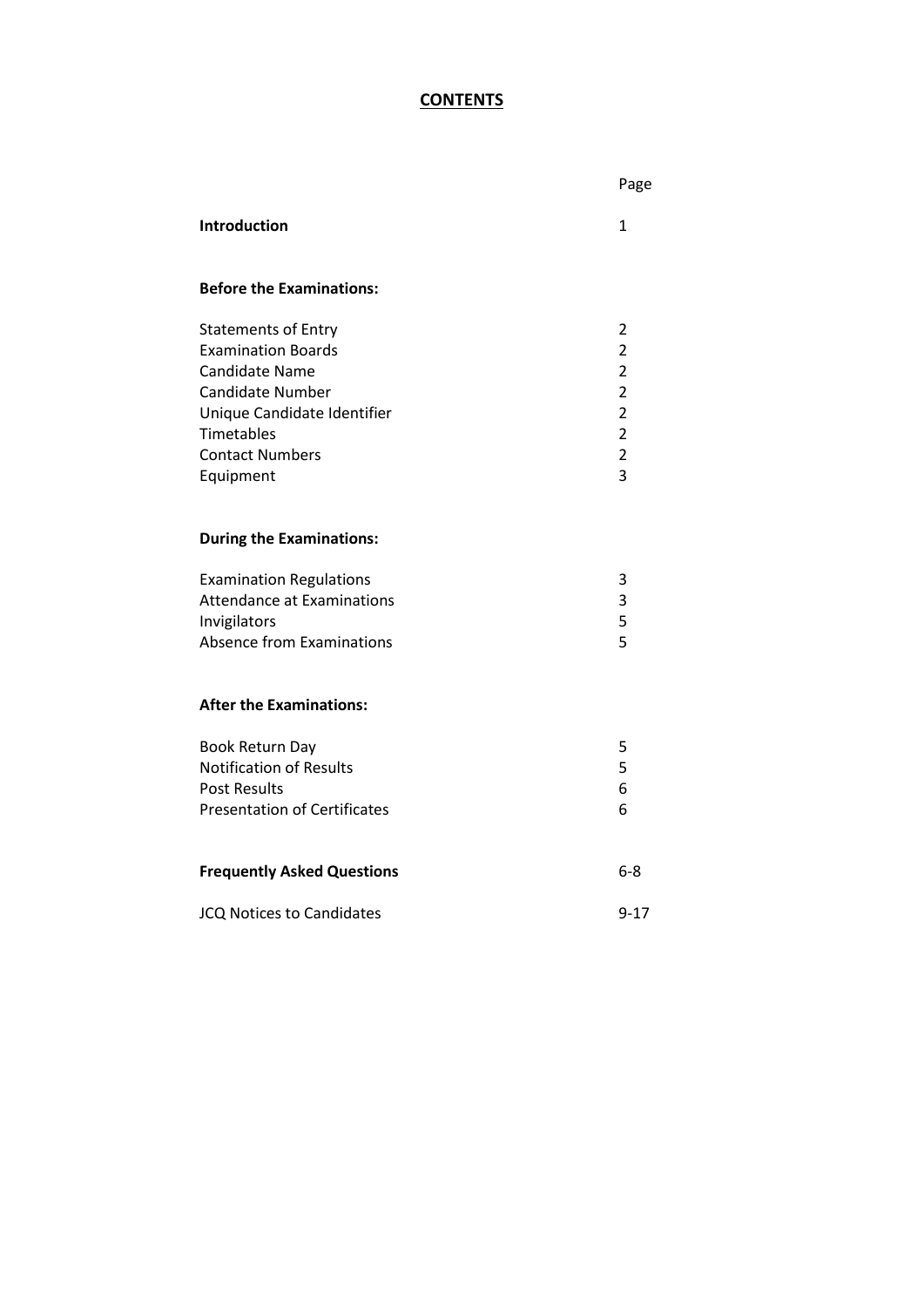### **CONTENTS**

|                                                                                                                                                                  |                                                                                                         | Page                                                                                                                                         |
|------------------------------------------------------------------------------------------------------------------------------------------------------------------|---------------------------------------------------------------------------------------------------------|----------------------------------------------------------------------------------------------------------------------------------------------|
| Introduction                                                                                                                                                     |                                                                                                         | $\mathbf{1}$                                                                                                                                 |
|                                                                                                                                                                  | <b>Before the Examinations:</b>                                                                         |                                                                                                                                              |
| <b>Statements of Entry</b><br><b>Examination Boards</b><br><b>Candidate Name</b><br><b>Candidate Number</b><br>Timetables<br><b>Contact Numbers</b><br>Equipment | Unique Candidate Identifier                                                                             | $\overline{2}$<br>$\overline{2}$<br>$\overline{2}$<br>$\overline{2}$<br>$\overline{2}$<br>$\overline{2}$<br>$\overline{2}$<br>$\overline{3}$ |
|                                                                                                                                                                  | <b>During the Examinations:</b>                                                                         |                                                                                                                                              |
| Invigilators                                                                                                                                                     | <b>Examination Regulations</b><br><b>Attendance at Examinations</b><br><b>Absence from Examinations</b> | 3<br>3<br>5<br>5                                                                                                                             |
|                                                                                                                                                                  | <b>After the Examinations:</b>                                                                          |                                                                                                                                              |
| Book Return Day<br><b>Post Results</b>                                                                                                                           | <b>Notification of Results</b><br><b>Presentation of Certificates</b>                                   | 5<br>5<br>6<br>6                                                                                                                             |
| <b>Frequently Asked Questions</b>                                                                                                                                |                                                                                                         | $6-8$                                                                                                                                        |
|                                                                                                                                                                  | <b>JCQ Notices to Candidates</b>                                                                        | $9 - 17$                                                                                                                                     |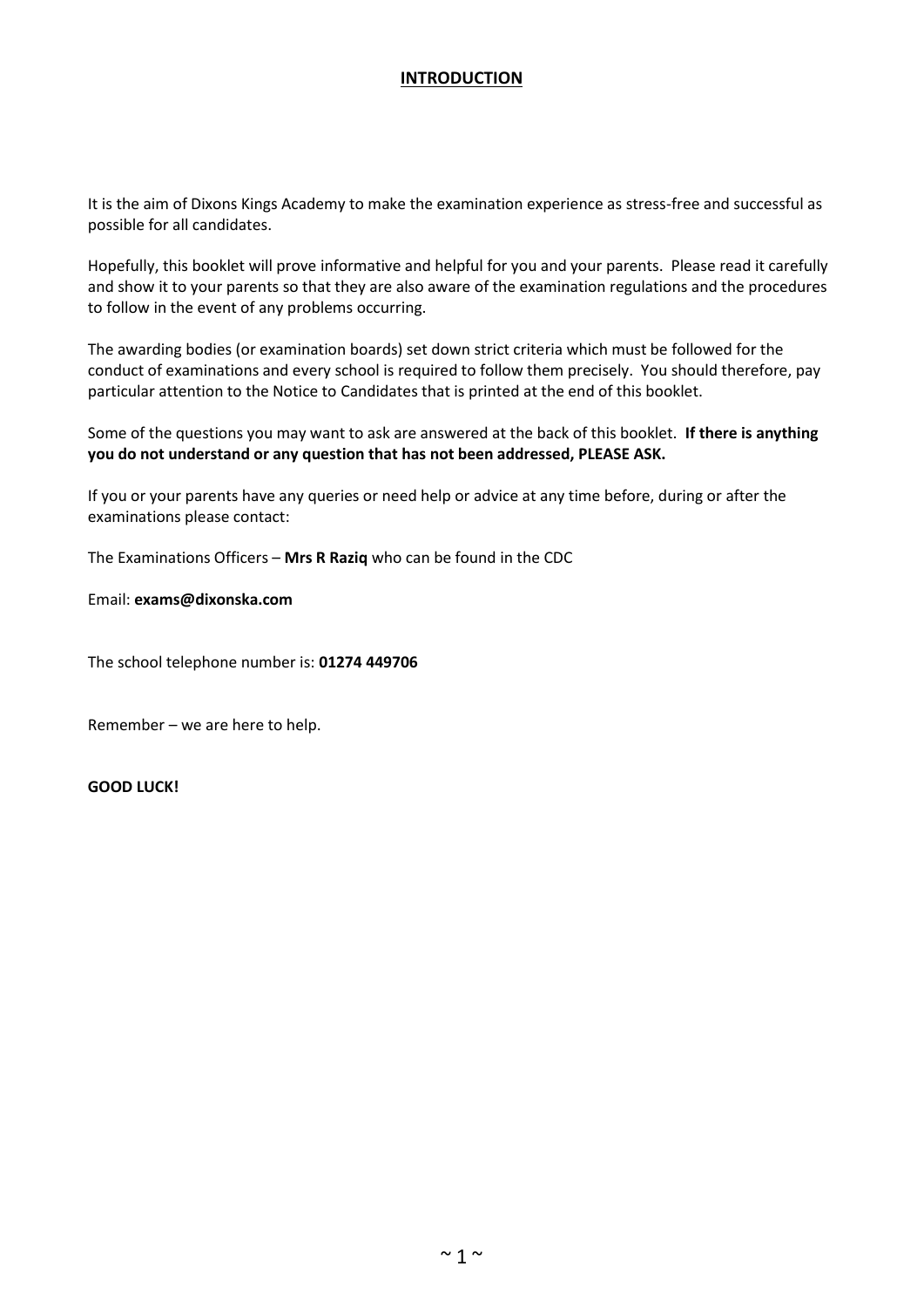#### **INTRODUCTION**

It is the aim of Dixons Kings Academy to make the examination experience as stress-free and successful as possible for all candidates.

Hopefully, this booklet will prove informative and helpful for you and your parents. Please read it carefully and show it to your parents so that they are also aware of the examination regulations and the procedures to follow in the event of any problems occurring.

The awarding bodies (or examination boards) set down strict criteria which must be followed for the conduct of examinations and every school is required to follow them precisely. You should therefore, pay particular attention to the Notice to Candidates that is printed at the end of this booklet.

Some of the questions you may want to ask are answered at the back of this booklet. **If there is anything you do not understand or any question that has not been addressed, PLEASE ASK.**

If you or your parents have any queries or need help or advice at any time before, during or after the examinations please contact:

The Examinations Officers – **Mrs R Raziq** who can be found in the CDC

Email: **exams@dixonska.com**

The school telephone number is: **01274 449706**

Remember – we are here to help.

**GOOD LUCK!**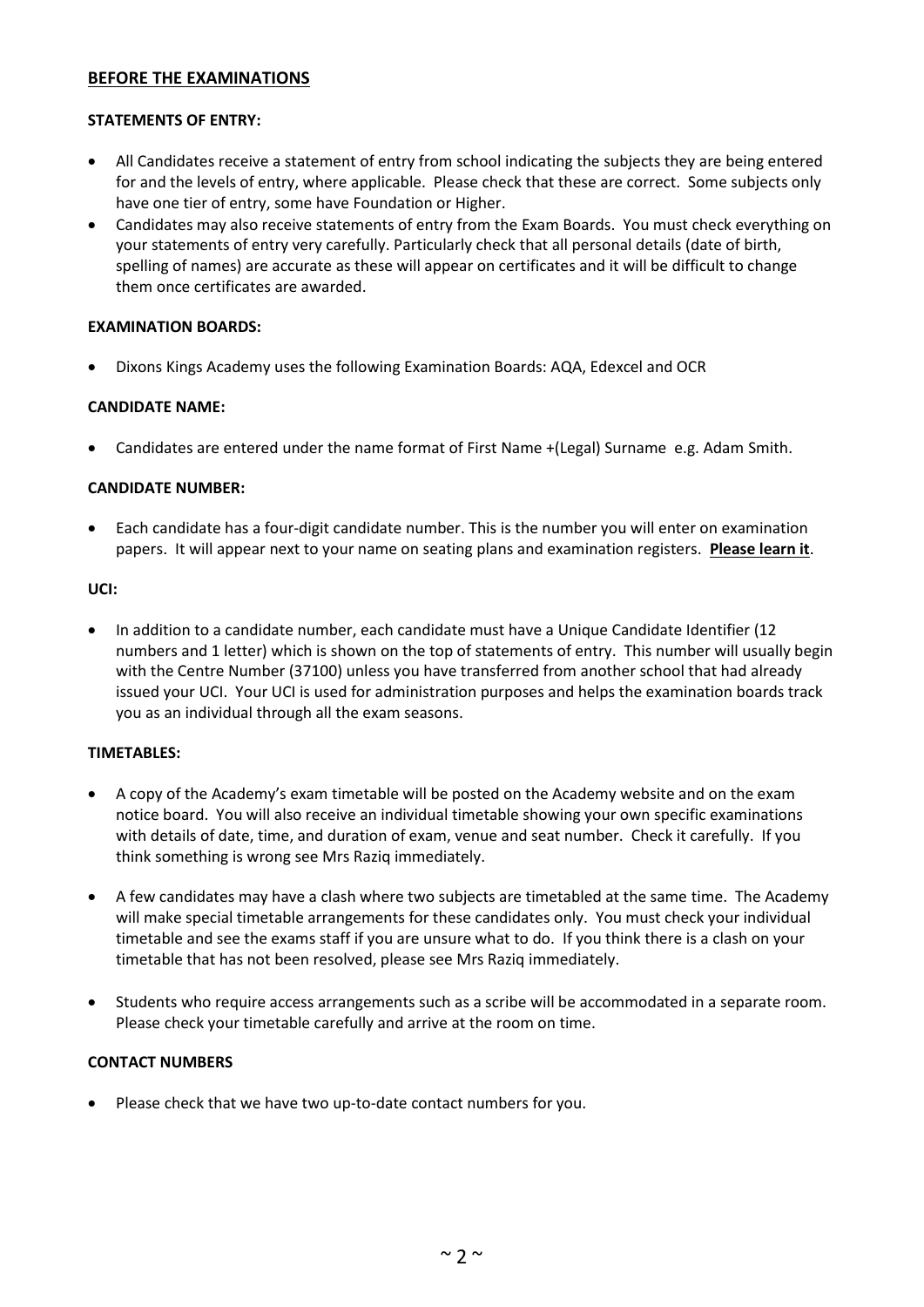#### **BEFORE THE EXAMINATIONS**

#### **STATEMENTS OF ENTRY:**

- All Candidates receive a statement of entry from school indicating the subjects they are being entered for and the levels of entry, where applicable. Please check that these are correct. Some subjects only have one tier of entry, some have Foundation or Higher.
- Candidates may also receive statements of entry from the Exam Boards. You must check everything on your statements of entry very carefully. Particularly check that all personal details (date of birth, spelling of names) are accurate as these will appear on certificates and it will be difficult to change them once certificates are awarded.

#### **EXAMINATION BOARDS:**

Dixons Kings Academy uses the following Examination Boards: AQA, Edexcel and OCR

#### **CANDIDATE NAME:**

Candidates are entered under the name format of First Name +(Legal) Surname e.g. Adam Smith.

#### **CANDIDATE NUMBER:**

 Each candidate has a four-digit candidate number. This is the number you will enter on examination papers. It will appear next to your name on seating plans and examination registers. **Please learn it**.

#### **UCI:**

• In addition to a candidate number, each candidate must have a Unique Candidate Identifier (12) numbers and 1 letter) which is shown on the top of statements of entry. This number will usually begin with the Centre Number (37100) unless you have transferred from another school that had already issued your UCI. Your UCI is used for administration purposes and helps the examination boards track you as an individual through all the exam seasons.

#### **TIMETABLES:**

- A copy of the Academy's exam timetable will be posted on the Academy website and on the exam notice board. You will also receive an individual timetable showing your own specific examinations with details of date, time, and duration of exam, venue and seat number. Check it carefully. If you think something is wrong see Mrs Raziq immediately.
- A few candidates may have a clash where two subjects are timetabled at the same time. The Academy will make special timetable arrangements for these candidates only. You must check your individual timetable and see the exams staff if you are unsure what to do. If you think there is a clash on your timetable that has not been resolved, please see Mrs Raziq immediately.
- Students who require access arrangements such as a scribe will be accommodated in a separate room. Please check your timetable carefully and arrive at the room on time.

#### **CONTACT NUMBERS**

Please check that we have two up-to-date contact numbers for you.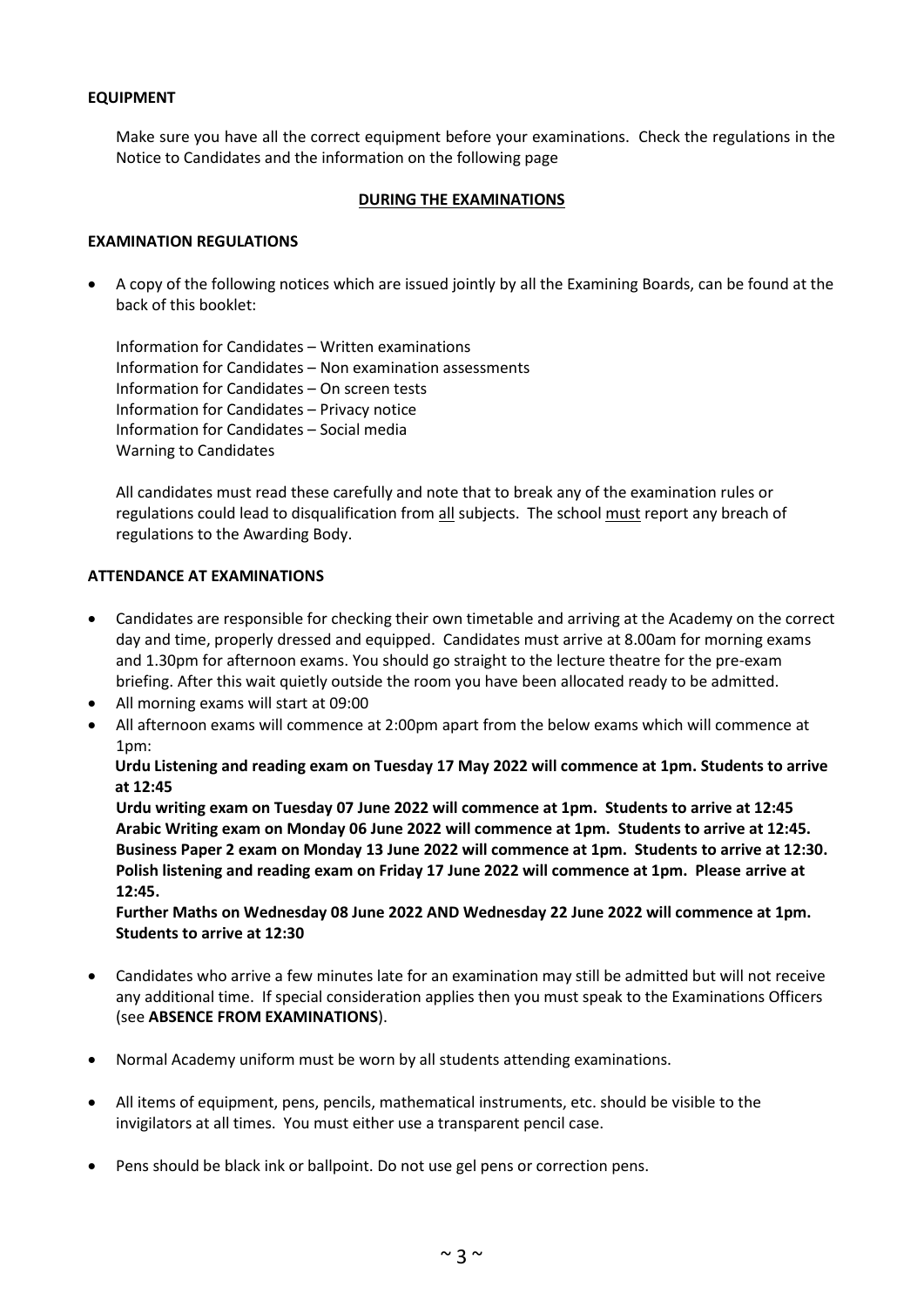#### **EQUIPMENT**

Make sure you have all the correct equipment before your examinations. Check the regulations in the Notice to Candidates and the information on the following page

#### **DURING THE EXAMINATIONS**

#### **EXAMINATION REGULATIONS**

 A copy of the following notices which are issued jointly by all the Examining Boards, can be found at the back of this booklet:

Information for Candidates – Written examinations Information for Candidates – Non examination assessments Information for Candidates – On screen tests Information for Candidates – Privacy notice Information for Candidates – Social media Warning to Candidates

All candidates must read these carefully and note that to break any of the examination rules or regulations could lead to disqualification from all subjects. The school must report any breach of regulations to the Awarding Body.

#### **ATTENDANCE AT EXAMINATIONS**

- Candidates are responsible for checking their own timetable and arriving at the Academy on the correct day and time, properly dressed and equipped. Candidates must arrive at 8.00am for morning exams and 1.30pm for afternoon exams. You should go straight to the lecture theatre for the pre-exam briefing. After this wait quietly outside the room you have been allocated ready to be admitted.
- All morning exams will start at 09:00
- All afternoon exams will commence at 2:00pm apart from the below exams which will commence at 1pm:

 **Urdu Listening and reading exam on Tuesday 17 May 2022 will commence at 1pm. Students to arrive at 12:45**

**Urdu writing exam on Tuesday 07 June 2022 will commence at 1pm. Students to arrive at 12:45 Arabic Writing exam on Monday 06 June 2022 will commence at 1pm. Students to arrive at 12:45. Business Paper 2 exam on Monday 13 June 2022 will commence at 1pm. Students to arrive at 12:30. Polish listening and reading exam on Friday 17 June 2022 will commence at 1pm. Please arrive at 12:45.**

**Further Maths on Wednesday 08 June 2022 AND Wednesday 22 June 2022 will commence at 1pm. Students to arrive at 12:30**

- Candidates who arrive a few minutes late for an examination may still be admitted but will not receive any additional time. If special consideration applies then you must speak to the Examinations Officers (see **ABSENCE FROM EXAMINATIONS**).
- Normal Academy uniform must be worn by all students attending examinations.
- All items of equipment, pens, pencils, mathematical instruments, etc. should be visible to the invigilators at all times. You must either use a transparent pencil case.
- Pens should be black ink or ballpoint. Do not use gel pens or correction pens.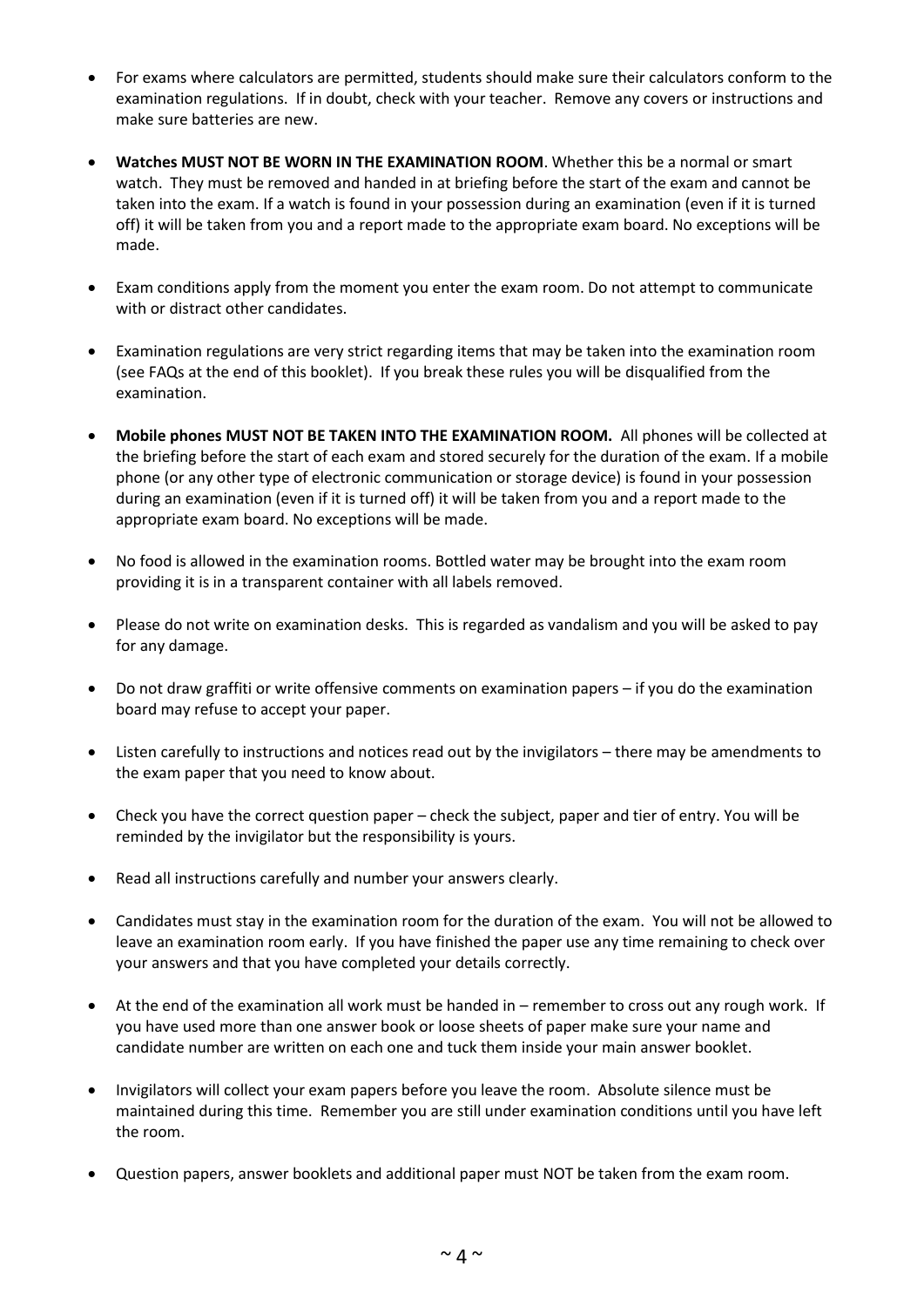- For exams where calculators are permitted, students should make sure their calculators conform to the examination regulations. If in doubt, check with your teacher. Remove any covers or instructions and make sure batteries are new.
- **Watches MUST NOT BE WORN IN THE EXAMINATION ROOM**. Whether this be a normal or smart watch. They must be removed and handed in at briefing before the start of the exam and cannot be taken into the exam. If a watch is found in your possession during an examination (even if it is turned off) it will be taken from you and a report made to the appropriate exam board. No exceptions will be made.
- Exam conditions apply from the moment you enter the exam room. Do not attempt to communicate with or distract other candidates.
- Examination regulations are very strict regarding items that may be taken into the examination room (see FAQs at the end of this booklet). If you break these rules you will be disqualified from the examination.
- **Mobile phones MUST NOT BE TAKEN INTO THE EXAMINATION ROOM.** All phones will be collected at the briefing before the start of each exam and stored securely for the duration of the exam. If a mobile phone (or any other type of electronic communication or storage device) is found in your possession during an examination (even if it is turned off) it will be taken from you and a report made to the appropriate exam board. No exceptions will be made.
- No food is allowed in the examination rooms. Bottled water may be brought into the exam room providing it is in a transparent container with all labels removed.
- Please do not write on examination desks. This is regarded as vandalism and you will be asked to pay for any damage.
- Do not draw graffiti or write offensive comments on examination papers if you do the examination board may refuse to accept your paper.
- Listen carefully to instructions and notices read out by the invigilators there may be amendments to the exam paper that you need to know about.
- Check you have the correct question paper check the subject, paper and tier of entry. You will be reminded by the invigilator but the responsibility is yours.
- Read all instructions carefully and number your answers clearly.
- Candidates must stay in the examination room for the duration of the exam. You will not be allowed to leave an examination room early. If you have finished the paper use any time remaining to check over your answers and that you have completed your details correctly.
- At the end of the examination all work must be handed in remember to cross out any rough work. If you have used more than one answer book or loose sheets of paper make sure your name and candidate number are written on each one and tuck them inside your main answer booklet.
- Invigilators will collect your exam papers before you leave the room. Absolute silence must be maintained during this time. Remember you are still under examination conditions until you have left the room.
- Question papers, answer booklets and additional paper must NOT be taken from the exam room.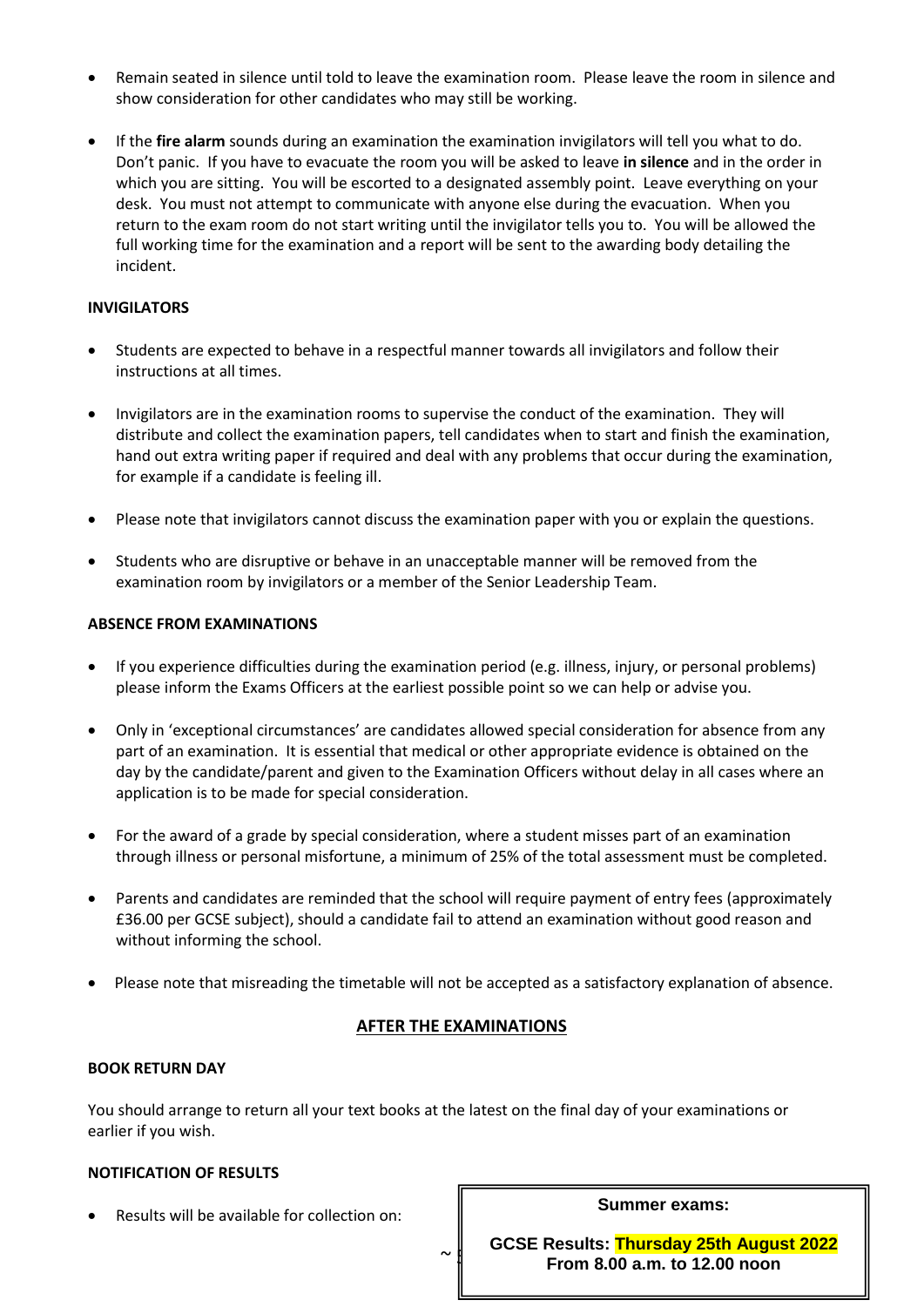- Remain seated in silence until told to leave the examination room. Please leave the room in silence and show consideration for other candidates who may still be working.
- If the **fire alarm** sounds during an examination the examination invigilators will tell you what to do. Don't panic. If you have to evacuate the room you will be asked to leave **in silence** and in the order in which you are sitting. You will be escorted to a designated assembly point. Leave everything on your desk. You must not attempt to communicate with anyone else during the evacuation. When you return to the exam room do not start writing until the invigilator tells you to. You will be allowed the full working time for the examination and a report will be sent to the awarding body detailing the incident.

#### **INVIGILATORS**

- Students are expected to behave in a respectful manner towards all invigilators and follow their instructions at all times.
- Invigilators are in the examination rooms to supervise the conduct of the examination. They will distribute and collect the examination papers, tell candidates when to start and finish the examination, hand out extra writing paper if required and deal with any problems that occur during the examination, for example if a candidate is feeling ill.
- Please note that invigilators cannot discuss the examination paper with you or explain the questions.
- Students who are disruptive or behave in an unacceptable manner will be removed from the examination room by invigilators or a member of the Senior Leadership Team.

#### **ABSENCE FROM EXAMINATIONS**

- If you experience difficulties during the examination period (e.g. illness, injury, or personal problems) please inform the Exams Officers at the earliest possible point so we can help or advise you.
- Only in 'exceptional circumstances' are candidates allowed special consideration for absence from any part of an examination. It is essential that medical or other appropriate evidence is obtained on the day by the candidate/parent and given to the Examination Officers without delay in all cases where an application is to be made for special consideration.
- For the award of a grade by special consideration, where a student misses part of an examination through illness or personal misfortune, a minimum of 25% of the total assessment must be completed.
- Parents and candidates are reminded that the school will require payment of entry fees (approximately £36.00 per GCSE subject), should a candidate fail to attend an examination without good reason and without informing the school.
- Please note that misreading the timetable will not be accepted as a satisfactory explanation of absence.

#### **AFTER THE EXAMINATIONS**

#### **BOOK RETURN DAY**

You should arrange to return all your text books at the latest on the final day of your examinations or earlier if you wish.

#### **NOTIFICATION OF RESULTS**

Results will be available for collection on:

**Summer exams:** 

**GCSE Results: Thursday 25th August 2022 From 8.00 a.m. to 12.00 noon** 

 $\sim$   $\parallel$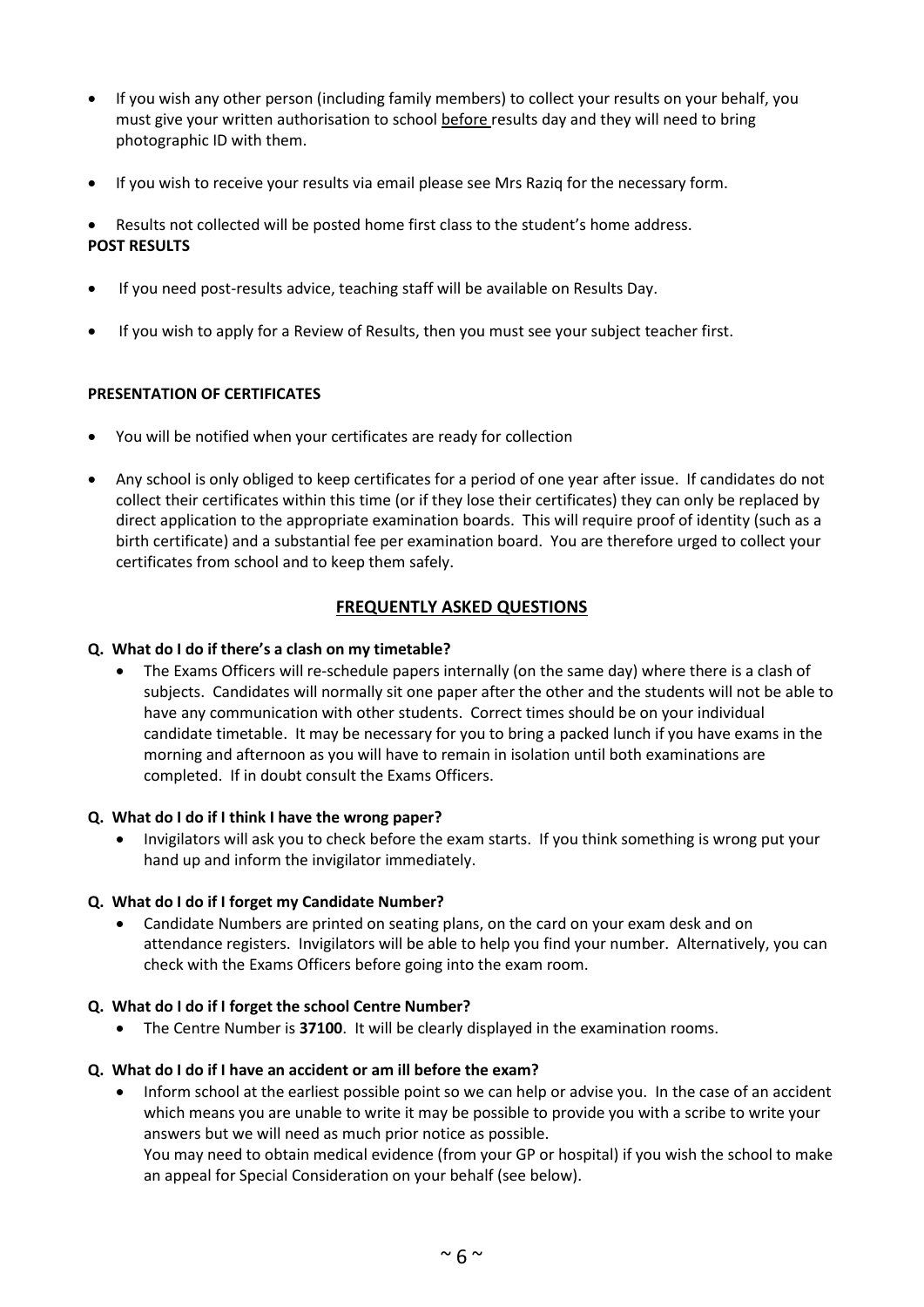- If you wish any other person (including family members) to collect your results on your behalf, you must give your written authorisation to school before results day and they will need to bring photographic ID with them.
- If you wish to receive your results via email please see Mrs Raziq for the necessary form.
- Results not collected will be posted home first class to the student's home address. **POST RESULTS**
- If you need post-results advice, teaching staff will be available on Results Day.
- If you wish to apply for a Review of Results, then you must see your subject teacher first.

#### **PRESENTATION OF CERTIFICATES**

- You will be notified when your certificates are ready for collection
- Any school is only obliged to keep certificates for a period of one year after issue. If candidates do not collect their certificates within this time (or if they lose their certificates) they can only be replaced by direct application to the appropriate examination boards. This will require proof of identity (such as a birth certificate) and a substantial fee per examination board. You are therefore urged to collect your certificates from school and to keep them safely.

#### **FREQUENTLY ASKED QUESTIONS**

#### **Q. What do I do if there's a clash on my timetable?**

 The Exams Officers will re-schedule papers internally (on the same day) where there is a clash of subjects. Candidates will normally sit one paper after the other and the students will not be able to have any communication with other students. Correct times should be on your individual candidate timetable. It may be necessary for you to bring a packed lunch if you have exams in the morning and afternoon as you will have to remain in isolation until both examinations are completed. If in doubt consult the Exams Officers.

#### **Q. What do I do if I think I have the wrong paper?**

 Invigilators will ask you to check before the exam starts. If you think something is wrong put your hand up and inform the invigilator immediately.

#### **Q. What do I do if I forget my Candidate Number?**

 Candidate Numbers are printed on seating plans, on the card on your exam desk and on attendance registers. Invigilators will be able to help you find your number. Alternatively, you can check with the Exams Officers before going into the exam room.

#### **Q. What do I do if I forget the school Centre Number?**

The Centre Number is **37100**. It will be clearly displayed in the examination rooms.

#### **Q. What do I do if I have an accident or am ill before the exam?**

 Inform school at the earliest possible point so we can help or advise you. In the case of an accident which means you are unable to write it may be possible to provide you with a scribe to write your answers but we will need as much prior notice as possible.

You may need to obtain medical evidence (from your GP or hospital) if you wish the school to make an appeal for Special Consideration on your behalf (see below).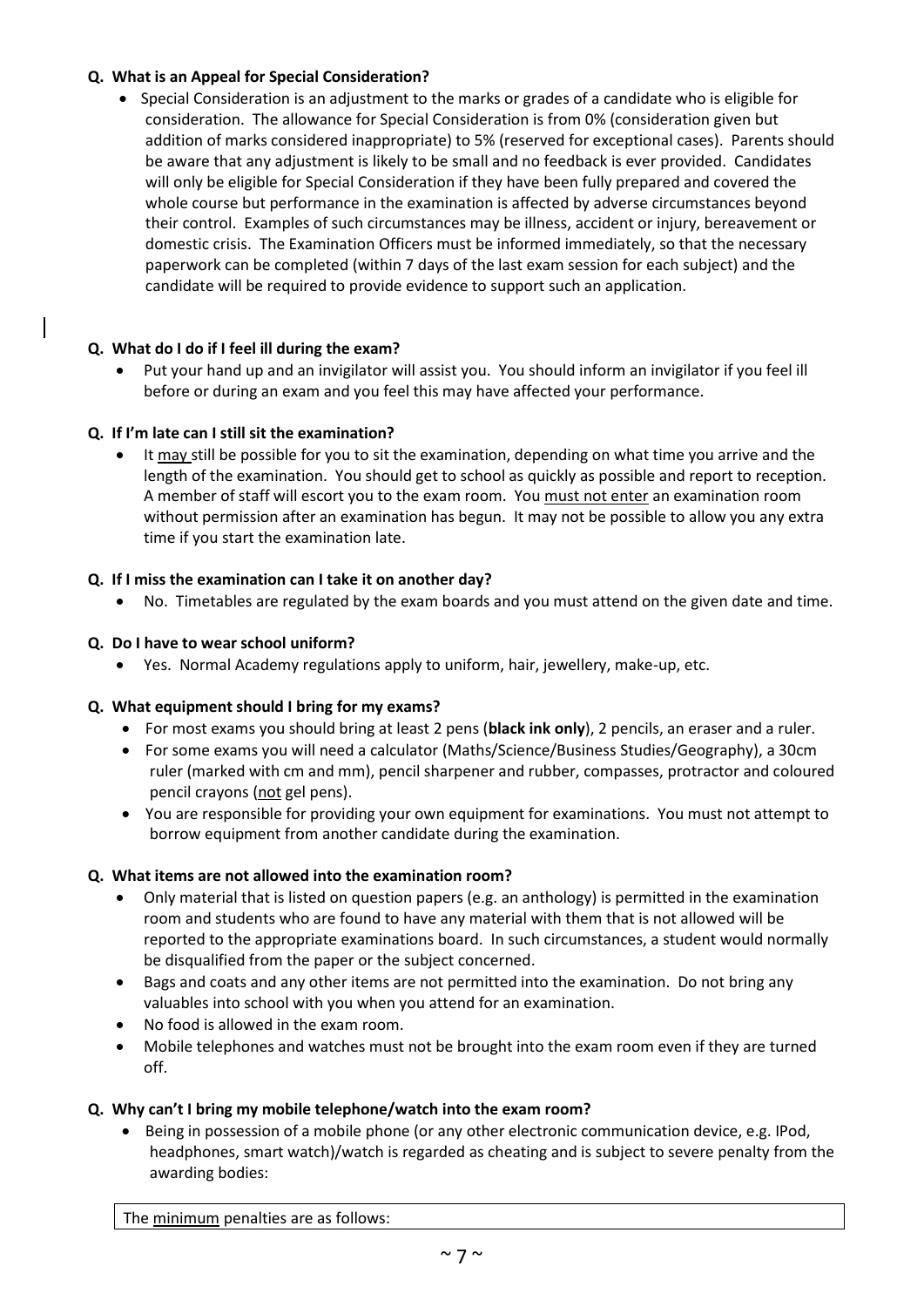#### **Q. What is an Appeal for Special Consideration?**

• Special Consideration is an adjustment to the marks or grades of a candidate who is eligible for consideration. The allowance for Special Consideration is from 0% (consideration given but addition of marks considered inappropriate) to 5% (reserved for exceptional cases). Parents should be aware that any adjustment is likely to be small and no feedback is ever provided. Candidates will only be eligible for Special Consideration if they have been fully prepared and covered the whole course but performance in the examination is affected by adverse circumstances beyond their control. Examples of such circumstances may be illness, accident or injury, bereavement or domestic crisis. The Examination Officers must be informed immediately, so that the necessary paperwork can be completed (within 7 days of the last exam session for each subject) and the candidate will be required to provide evidence to support such an application.

#### **Q. What do I do if I feel ill during the exam?**

 Put your hand up and an invigilator will assist you. You should inform an invigilator if you feel ill before or during an exam and you feel this may have affected your performance.

#### **Q. If I'm late can I still sit the examination?**

• It may still be possible for you to sit the examination, depending on what time you arrive and the length of the examination. You should get to school as quickly as possible and report to reception. A member of staff will escort you to the exam room. You must not enter an examination room without permission after an examination has begun. It may not be possible to allow you any extra time if you start the examination late.

#### **Q. If I miss the examination can I take it on another day?**

No. Timetables are regulated by the exam boards and you must attend on the given date and time.

#### **Q. Do I have to wear school uniform?**

Yes. Normal Academy regulations apply to uniform, hair, jewellery, make-up, etc.

#### **Q. What equipment should I bring for my exams?**

- For most exams you should bring at least 2 pens (**black ink only**), 2 pencils, an eraser and a ruler.
- For some exams you will need a calculator (Maths/Science/Business Studies/Geography), a 30cm ruler (marked with cm and mm), pencil sharpener and rubber, compasses, protractor and coloured pencil crayons (not gel pens).
- You are responsible for providing your own equipment for examinations. You must not attempt to borrow equipment from another candidate during the examination.

#### **Q. What items are not allowed into the examination room?**

- Only material that is listed on question papers (e.g. an anthology) is permitted in the examination room and students who are found to have any material with them that is not allowed will be reported to the appropriate examinations board. In such circumstances, a student would normally be disqualified from the paper or the subject concerned.
- Bags and coats and any other items are not permitted into the examination. Do not bring any valuables into school with you when you attend for an examination.
- No food is allowed in the exam room.
- Mobile telephones and watches must not be brought into the exam room even if they are turned off.

#### **Q. Why can't I bring my mobile telephone/watch into the exam room?**

 Being in possession of a mobile phone (or any other electronic communication device, e.g. IPod, headphones, smart watch)/watch is regarded as cheating and is subject to severe penalty from the awarding bodies:

The minimum penalties are as follows: